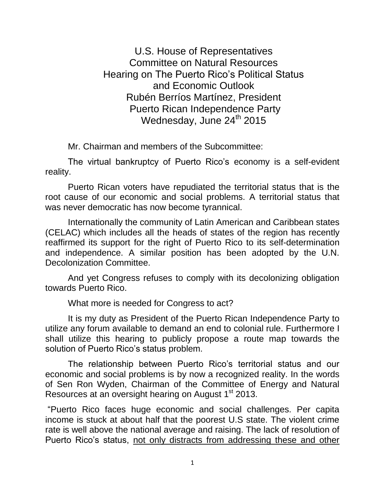U.S. House of Representatives Committee on Natural Resources Hearing on The Puerto Rico's Political Status and Economic Outlook Rubén Berríos Martínez, President Puerto Rican Independence Party Wednesday, June  $24<sup>th</sup>$  2015

Mr. Chairman and members of the Subcommittee:

The virtual bankruptcy of Puerto Rico's economy is a self-evident reality.

Puerto Rican voters have repudiated the territorial status that is the root cause of our economic and social problems. A territorial status that was never democratic has now become tyrannical.

Internationally the community of Latin American and Caribbean states (CELAC) which includes all the heads of states of the region has recently reaffirmed its support for the right of Puerto Rico to its self-determination and independence. A similar position has been adopted by the U.N. Decolonization Committee.

And yet Congress refuses to comply with its decolonizing obligation towards Puerto Rico.

What more is needed for Congress to act?

It is my duty as President of the Puerto Rican Independence Party to utilize any forum available to demand an end to colonial rule. Furthermore I shall utilize this hearing to publicly propose a route map towards the solution of Puerto Rico's status problem.

The relationship between Puerto Rico's territorial status and our economic and social problems is by now a recognized reality. In the words of Sen Ron Wyden, Chairman of the Committee of Energy and Natural Resources at an oversight hearing on August 1<sup>st</sup> 2013.

"Puerto Rico faces huge economic and social challenges. Per capita income is stuck at about half that the poorest U.S state. The violent crime rate is well above the national average and raising. The lack of resolution of Puerto Rico's status, not only distracts from addressing these and other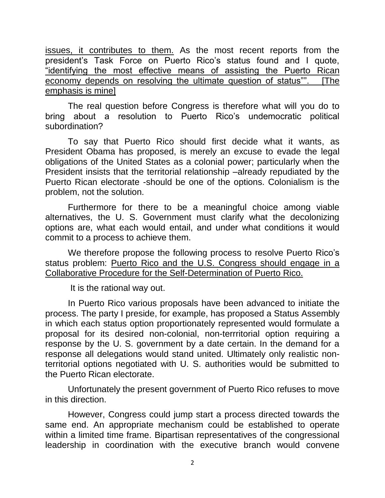issues, it contributes to them. As the most recent reports from the president's Task Force on Puerto Rico's status found and I quote, "identifying the most effective means of assisting the Puerto Rican economy depends on resolving the ultimate question of status"". [The emphasis is mine]

The real question before Congress is therefore what will you do to bring about a resolution to Puerto Rico's undemocratic political subordination?

To say that Puerto Rico should first decide what it wants, as President Obama has proposed, is merely an excuse to evade the legal obligations of the United States as a colonial power; particularly when the President insists that the territorial relationship –already repudiated by the Puerto Rican electorate -should be one of the options. Colonialism is the problem, not the solution.

Furthermore for there to be a meaningful choice among viable alternatives, the U. S. Government must clarify what the decolonizing options are, what each would entail, and under what conditions it would commit to a process to achieve them.

We therefore propose the following process to resolve Puerto Rico's status problem: Puerto Rico and the U.S. Congress should engage in a Collaborative Procedure for the Self-Determination of Puerto Rico.

It is the rational way out.

In Puerto Rico various proposals have been advanced to initiate the process. The party I preside, for example, has proposed a Status Assembly in which each status option proportionately represented would formulate a proposal for its desired non-colonial, non-terrritorial option requiring a response by the U. S. government by a date certain. In the demand for a response all delegations would stand united. Ultimately only realistic nonterritorial options negotiated with U. S. authorities would be submitted to the Puerto Rican electorate.

Unfortunately the present government of Puerto Rico refuses to move in this direction.

However, Congress could jump start a process directed towards the same end. An appropriate mechanism could be established to operate within a limited time frame. Bipartisan representatives of the congressional leadership in coordination with the executive branch would convene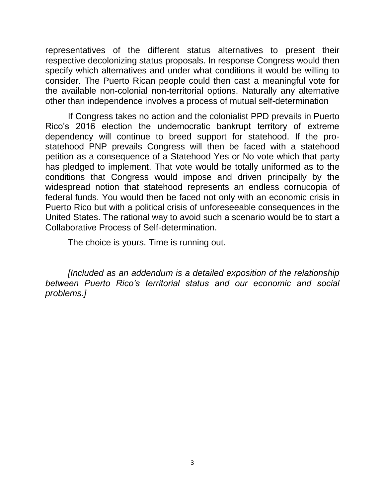representatives of the different status alternatives to present their respective decolonizing status proposals. In response Congress would then specify which alternatives and under what conditions it would be willing to consider. The Puerto Rican people could then cast a meaningful vote for the available non-colonial non-territorial options. Naturally any alternative other than independence involves a process of mutual self-determination

If Congress takes no action and the colonialist PPD prevails in Puerto Rico's 2016 election the undemocratic bankrupt territory of extreme dependency will continue to breed support for statehood. If the prostatehood PNP prevails Congress will then be faced with a statehood petition as a consequence of a Statehood Yes or No vote which that party has pledged to implement. That vote would be totally uniformed as to the conditions that Congress would impose and driven principally by the widespread notion that statehood represents an endless cornucopia of federal funds. You would then be faced not only with an economic crisis in Puerto Rico but with a political crisis of unforeseeable consequences in the United States. The rational way to avoid such a scenario would be to start a Collaborative Process of Self-determination.

The choice is yours. Time is running out.

*[Included as an addendum is a detailed exposition of the relationship between Puerto Rico's territorial status and our economic and social problems.]*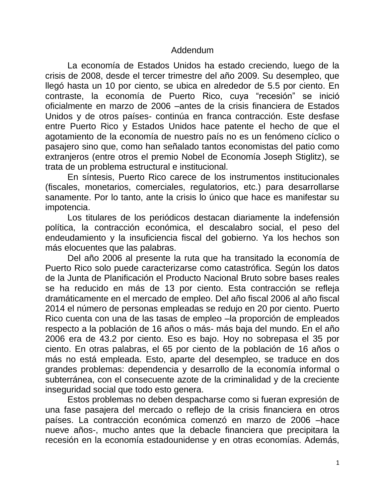## Addendum

La economía de Estados Unidos ha estado creciendo, luego de la crisis de 2008, desde el tercer trimestre del año 2009. Su desempleo, que llegó hasta un 10 por ciento, se ubica en alrededor de 5.5 por ciento. En contraste, la economía de Puerto Rico, cuya "recesión" se inició oficialmente en marzo de 2006 –antes de la crisis financiera de Estados Unidos y de otros países- continúa en franca contracción. Este desfase entre Puerto Rico y Estados Unidos hace patente el hecho de que el agotamiento de la economía de nuestro país no es un fenómeno cíclico o pasajero sino que, como han señalado tantos economistas del patio como extranjeros (entre otros el premio Nobel de Economía Joseph Stiglitz), se trata de un problema estructural e institucional.

En síntesis, Puerto Rico carece de los instrumentos institucionales (fiscales, monetarios, comerciales, regulatorios, etc.) para desarrollarse sanamente. Por lo tanto, ante la crisis lo único que hace es manifestar su impotencia.

Los titulares de los periódicos destacan diariamente la indefensión política, la contracción económica, el descalabro social, el peso del endeudamiento y la insuficiencia fiscal del gobierno. Ya los hechos son más elocuentes que las palabras.

Del año 2006 al presente la ruta que ha transitado la economía de Puerto Rico solo puede caracterizarse como catastrófica. Según los datos de la Junta de Planificación el Producto Nacional Bruto sobre bases reales se ha reducido en más de 13 por ciento. Esta contracción se refleja dramáticamente en el mercado de empleo. Del año fiscal 2006 al año fiscal 2014 el número de personas empleadas se redujo en 20 por ciento. Puerto Rico cuenta con una de las tasas de empleo –la proporción de empleados respecto a la población de 16 años o más- más baja del mundo. En el año 2006 era de 43.2 por ciento. Eso es bajo. Hoy no sobrepasa el 35 por ciento. En otras palabras, el 65 por ciento de la población de 16 años o más no está empleada. Esto, aparte del desempleo, se traduce en dos grandes problemas: dependencia y desarrollo de la economía informal o subterránea, con el consecuente azote de la criminalidad y de la creciente inseguridad social que todo esto genera.

Estos problemas no deben despacharse como si fueran expresión de una fase pasajera del mercado o reflejo de la crisis financiera en otros países. La contracción económica comenzó en marzo de 2006 –hace nueve años-, mucho antes que la debacle financiera que precipitara la recesión en la economía estadounidense y en otras economías. Además,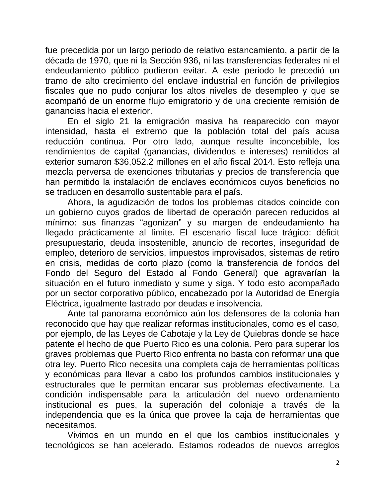fue precedida por un largo periodo de relativo estancamiento, a partir de la década de 1970, que ni la Sección 936, ni las transferencias federales ni el endeudamiento público pudieron evitar. A este periodo le precedió un tramo de alto crecimiento del enclave industrial en función de privilegios fiscales que no pudo conjurar los altos niveles de desempleo y que se acompañó de un enorme flujo emigratorio y de una creciente remisión de ganancias hacia el exterior.

En el siglo 21 la emigración masiva ha reaparecido con mayor intensidad, hasta el extremo que la población total del país acusa reducción continua. Por otro lado, aunque resulte inconcebible, los rendimientos de capital (ganancias, dividendos e intereses) remitidos al exterior sumaron \$36,052.2 millones en el año fiscal 2014. Esto refleja una mezcla perversa de exenciones tributarias y precios de transferencia que han permitido la instalación de enclaves económicos cuyos beneficios no se traducen en desarrollo sustentable para el país.

Ahora, la agudización de todos los problemas citados coincide con un gobierno cuyos grados de libertad de operación parecen reducidos al mínimo: sus finanzas "agonizan" y su margen de endeudamiento ha llegado prácticamente al límite. El escenario fiscal luce trágico: déficit presupuestario, deuda insostenible, anuncio de recortes, inseguridad de empleo, deterioro de servicios, impuestos improvisados, sistemas de retiro en crisis, medidas de corto plazo (como la transferencia de fondos del Fondo del Seguro del Estado al Fondo General) que agravarían la situación en el futuro inmediato y sume y siga. Y todo esto acompañado por un sector corporativo público, encabezado por la Autoridad de Energía Eléctrica, igualmente lastrado por deudas e insolvencia.

Ante tal panorama económico aún los defensores de la colonia han reconocido que hay que realizar reformas institucionales, como es el caso, por ejemplo, de las Leyes de Cabotaje y la Ley de Quiebras donde se hace patente el hecho de que Puerto Rico es una colonia. Pero para superar los graves problemas que Puerto Rico enfrenta no basta con reformar una que otra ley. Puerto Rico necesita una completa caja de herramientas políticas y económicas para llevar a cabo los profundos cambios institucionales y estructurales que le permitan encarar sus problemas efectivamente. La condición indispensable para la articulación del nuevo ordenamiento institucional es pues, la superación del coloniaje a través de la independencia que es la única que provee la caja de herramientas que necesitamos.

Vivimos en un mundo en el que los cambios institucionales y tecnológicos se han acelerado. Estamos rodeados de nuevos arreglos